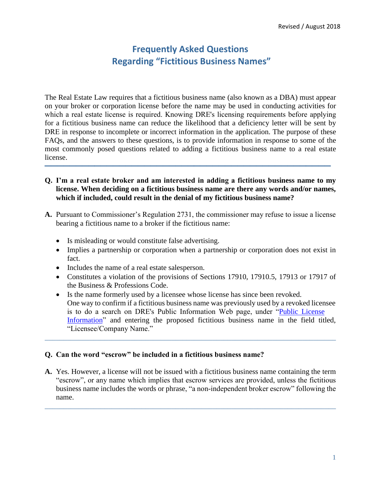The Real Estate Law requires that a fictitious business name (also known as a DBA) must appear **\_\_\_\_\_\_\_\_\_\_\_\_\_\_\_\_\_\_\_\_\_\_\_\_\_\_\_\_\_\_\_\_\_\_\_\_\_\_\_\_\_\_\_\_\_\_**  on your broker or corporation license before the name may be used in conducting activities for which a real estate license is required. Knowing DRE's licensing requirements before applying for a fictitious business name can reduce the likelihood that a deficiency letter will be sent by DRE in response to incomplete or incorrect information in the application. The purpose of these FAQs, and the answers to these questions, is to provide information in response to some of the most commonly posed questions related to adding a fictitious business name to a real estate license.

- **Q. I'm a real estate broker and am interested in adding a fictitious business name to my license. When deciding on a fictitious business name are there any words and/or names, which if included, could result in the denial of my fictitious business name?**
- **A.** Pursuant to Commissioner's Regulation 2731, the commissioner may refuse to issue a license bearing a fictitious name to a broker if the fictitious name:
	- Is misleading or would constitute false advertising.
	- Implies a partnership or corporation when a partnership or corporation does not exist in fact.
	- Includes the name of a real estate salesperson.
	- Constitutes a violation of the provisions of Sections 17910, 17910.5, 17913 or 17917 of the Business & Professions Code.
	- Is the name formerly used by a licensee whose license has since been revoked. One way to confirm if a fictitious business name was previously used by a revoked licensee is to do a search on DRE's Public Information Web page, under "Public License Information" and entering the proposed fictitious business name in the field titled, "Licensee/Company Name."

## **Q. Can the word "escrow" be included in a fictitious business name?**

 "escrow", or any name which implies that escrow services are provided, unless the fictitious business name includes the words or phrase, "a non-independent broker escrow" following the **A.** Yes. However, a license will not be issued with a fictitious business name containing the term name.

\_\_\_\_\_\_\_\_\_\_\_\_\_\_\_\_\_\_\_\_\_\_\_\_\_\_\_\_\_\_\_\_\_\_\_\_\_\_\_\_\_\_\_\_\_\_\_\_\_\_\_\_\_\_\_\_\_\_\_\_\_\_\_\_\_\_\_\_\_\_\_\_\_\_\_\_\_\_

\_\_\_\_\_\_\_\_\_\_\_\_\_\_\_\_\_\_\_\_\_\_\_\_\_\_\_\_\_\_\_\_\_\_\_\_\_\_\_\_\_\_\_\_\_\_\_\_\_\_\_\_\_\_\_\_\_\_\_\_\_\_\_\_\_\_\_\_\_\_\_\_\_\_\_\_\_\_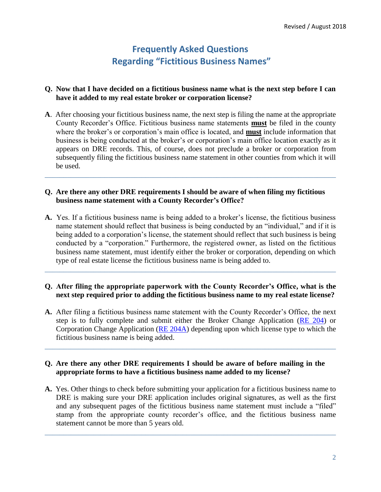### **Q. Now that I have decided on a fictitious business name what is the next step before I can have it added to my real estate broker or corporation license?**

 **A**. After choosing your fictitious business name, the next step is filing the name at the appropriate County Recorder's Office. Fictitious business name statements **must** be filed in the county where the broker's or corporation's main office is located, and **must** include information that business is being conducted at the broker's or corporation's main office location exactly as it appears on DRE records. This, of course, does not preclude a broker or corporation from subsequently filing the fictitious business name statement in other counties from which it will be used.

\_\_\_\_\_\_\_\_\_\_\_\_\_\_\_\_\_\_\_\_\_\_\_\_\_\_\_\_\_\_\_\_\_\_\_\_\_\_\_\_\_\_\_\_\_\_\_\_\_\_\_\_\_\_\_\_\_\_\_\_\_\_\_\_\_\_\_\_\_\_\_\_\_\_\_\_\_\_

#### **Q. Are there any other DRE requirements I should be aware of when filing my fictitious business name statement with a County Recorder's Office?**

 **A.** Yes. If a fictitious business name is being added to a broker's license, the fictitious business name statement should reflect that business is being conducted by an "individual," and if it is conducted by a "corporation." Furthermore, the registered owner, as listed on the fictitious business name statement, must identify either the broker or corporation, depending on which being added to a corporation's license, the statement should reflect that such business is being type of real estate license the fictitious business name is being added to.

#### **Q. After filing the appropriate paperwork with the County Recorder's Office, what is the next step required prior to adding the fictitious business name to my real estate license?**

\_\_\_\_\_\_\_\_\_\_\_\_\_\_\_\_\_\_\_\_\_\_\_\_\_\_\_\_\_\_\_\_\_\_\_\_\_\_\_\_\_\_\_\_\_\_\_\_\_\_\_\_\_\_\_\_\_\_\_\_\_\_\_\_\_\_\_\_\_\_\_\_\_\_\_\_\_\_

 **A.** After filing a fictitious business name statement with the County Recorder's Office, the next Corporation Change Application (RE 204A) depending upon which license type to which the step is to fully complete and submit either the Broker Change Application (RE 204) or fictitious business name is being added.

\_\_\_\_\_\_\_\_\_\_\_\_\_\_\_\_\_\_\_\_\_\_\_\_\_\_\_\_\_\_\_\_\_\_\_\_\_\_\_\_\_\_\_\_\_\_\_\_\_\_\_\_\_\_\_\_\_\_\_\_\_\_\_\_\_\_\_\_\_\_\_\_\_\_\_\_\_\_

### **Q. Are there any other DRE requirements I should be aware of before mailing in the appropriate forms to have a fictitious business name added to my license?**

 **A.** Yes. Other things to check before submitting your application for a fictitious business name to DRE is making sure your DRE application includes original signatures, as well as the first and any subsequent pages of the fictitious business name statement must include a "filed" stamp from the appropriate county recorder's office, and the fictitious business name statement cannot be more than 5 years old.

\_\_\_\_\_\_\_\_\_\_\_\_\_\_\_\_\_\_\_\_\_\_\_\_\_\_\_\_\_\_\_\_\_\_\_\_\_\_\_\_\_\_\_\_\_\_\_\_\_\_\_\_\_\_\_\_\_\_\_\_\_\_\_\_\_\_\_\_\_\_\_\_\_\_\_\_\_\_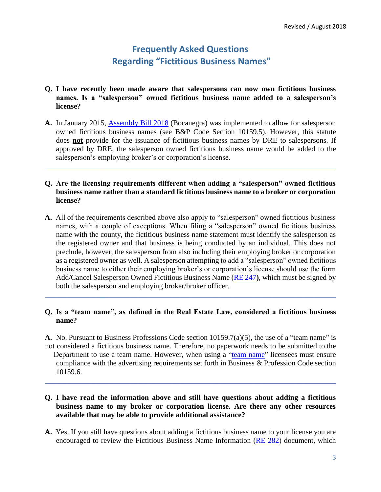- **Q. I have recently been made aware that salespersons can now own fictitious business names. Is a "salesperson" owned fictitious business name added to a salesperson's license?**
- **A.** In January 2015, Assembly Bill 2018 (Bocanegra) was implemented to allow for salesperson owned fictitious business names (see B&P Code Section 10159.5). However, this statute does **not** provide for the issuance of fictitious business names by DRE to salespersons. If approved by DRE, the salesperson owned fictitious business name would be added to the salesperson's employing broker's or corporation's license.

#### **Q. Are the licensing requirements different when adding a "salesperson" owned fictitious business name rather than a standard fictitious business name to a broker or corporation license?**

\_\_\_\_\_\_\_\_\_\_\_\_\_\_\_\_\_\_\_\_\_\_\_\_\_\_\_\_\_\_\_\_\_\_\_\_\_\_\_\_\_\_\_\_\_\_\_\_\_\_\_\_\_\_\_\_\_\_\_\_\_\_\_\_\_\_\_\_\_\_\_\_\_\_\_\_\_\_

 names, with a couple of exceptions. When filing a "salesperson" owned fictitious business as a registered owner as well. A salesperson attempting to add a "salesperson" owned fictitious business name to either their employing broker's or corporation's license should use the form Add/Cancel Salesperson Owned Fictitious Business Name (RE 247**)**, which must be signed by **A.** All of the requirements described above also apply to "salesperson" owned fictitious business name with the county, the fictitious business name statement must identify the salesperson as the registered owner and that business is being conducted by an individual. This does not preclude, however, the salesperson from also including their employing broker or corporation both the salesperson and employing broker/broker officer.

### **Q. Is a "team name", as defined in the Real Estate Law, considered a fictitious business name?**

\_\_\_\_\_\_\_\_\_\_\_\_\_\_\_\_\_\_\_\_\_\_\_\_\_\_\_\_\_\_\_\_\_\_\_\_\_\_\_\_\_\_\_\_\_\_\_\_\_\_\_\_\_\_\_\_\_\_\_\_\_\_\_\_\_\_\_\_\_\_\_\_\_\_\_\_\_\_

**A.** No. Pursuant to Business Professions Code section 10159.7(a)(5), the use of a "team name" is not considered a fictitious business name. Therefore, no paperwork needs to be submitted to the Department to use a team name. However, when using a "team name" licensees must ensure compliance with the advertising requirements set forth in Business & Profession Code section 10159.6.

\_\_\_\_\_\_\_\_\_\_\_\_\_\_\_\_\_\_\_\_\_\_\_\_\_\_\_\_\_\_\_\_\_\_\_\_\_\_\_\_\_\_\_\_\_\_\_\_\_\_\_\_\_\_\_\_\_\_\_\_\_\_\_\_\_\_\_\_\_\_\_\_\_\_\_\_\_\_

### **Q. I have read the information above and still have questions about adding a fictitious business name to my broker or corporation license. Are there any other resources available that may be able to provide additional assistance?**

 **A.** Yes. If you still have questions about adding a fictitious business name to your license you are encouraged to review the Fictitious Business Name Information (RE 282) document, which